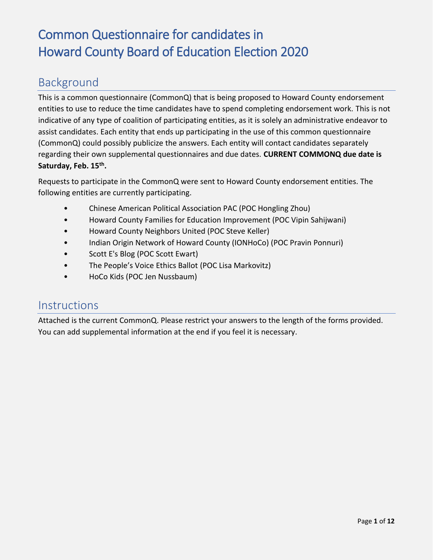#### Background

This is a common questionnaire (CommonQ) that is being proposed to Howard County endorsement entities to use to reduce the time candidates have to spend completing endorsement work. This is not indicative of any type of coalition of participating entities, as it is solely an administrative endeavor to assist candidates. Each entity that ends up participating in the use of this common questionnaire (CommonQ) could possibly publicize the answers. Each entity will contact candidates separately regarding their own supplemental questionnaires and due dates. **CURRENT COMMONQ due date is Saturday, Feb. 15th .**

Requests to participate in the CommonQ were sent to Howard County endorsement entities. The following entities are currently participating.

- Chinese American Political Association PAC (POC Hongling Zhou)
- Howard County Families for Education Improvement (POC Vipin Sahijwani)
- Howard County Neighbors United (POC Steve Keller)
- Indian Origin Network of Howard County (IONHoCo) (POC Pravin Ponnuri)
- Scott E's Blog (POC Scott Ewart)
- The People's Voice Ethics Ballot (POC Lisa Markovitz)
- HoCo Kids (POC Jen Nussbaum)

#### **Instructions**

Attached is the current CommonQ. Please restrict your answers to the length of the forms provided. You can add supplemental information at the end if you feel it is necessary.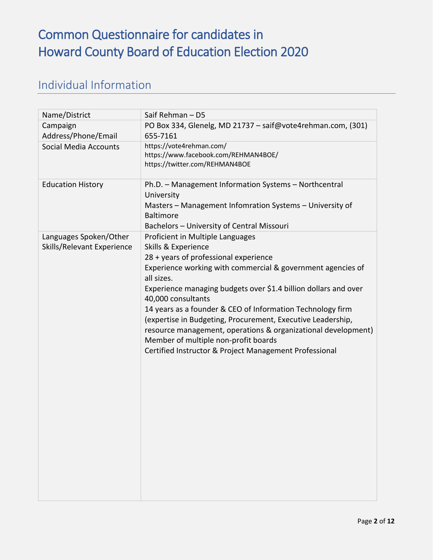#### Individual Information

| Name/District                                        | Saif Rehman - D5                                                                                                                                                                                                                                                                                                                                                                                                                                                                                                                                                       |
|------------------------------------------------------|------------------------------------------------------------------------------------------------------------------------------------------------------------------------------------------------------------------------------------------------------------------------------------------------------------------------------------------------------------------------------------------------------------------------------------------------------------------------------------------------------------------------------------------------------------------------|
| Campaign<br>Address/Phone/Email                      | PO Box 334, Glenelg, MD 21737 - saif@vote4rehman.com, (301)<br>655-7161                                                                                                                                                                                                                                                                                                                                                                                                                                                                                                |
| <b>Social Media Accounts</b>                         | https://vote4rehman.com/<br>https://www.facebook.com/REHMAN4BOE/<br>https://twitter.com/REHMAN4BOE                                                                                                                                                                                                                                                                                                                                                                                                                                                                     |
| <b>Education History</b>                             | Ph.D. - Management Information Systems - Northcentral<br>University<br>Masters - Management Infomration Systems - University of<br><b>Baltimore</b><br>Bachelors - University of Central Missouri                                                                                                                                                                                                                                                                                                                                                                      |
| Languages Spoken/Other<br>Skills/Relevant Experience | Proficient in Multiple Languages<br>Skills & Experience<br>28 + years of professional experience<br>Experience working with commercial & government agencies of<br>all sizes.<br>Experience managing budgets over \$1.4 billion dollars and over<br>40,000 consultants<br>14 years as a founder & CEO of Information Technology firm<br>(expertise in Budgeting, Procurement, Executive Leadership,<br>resource management, operations & organizational development)<br>Member of multiple non-profit boards<br>Certified Instructor & Project Management Professional |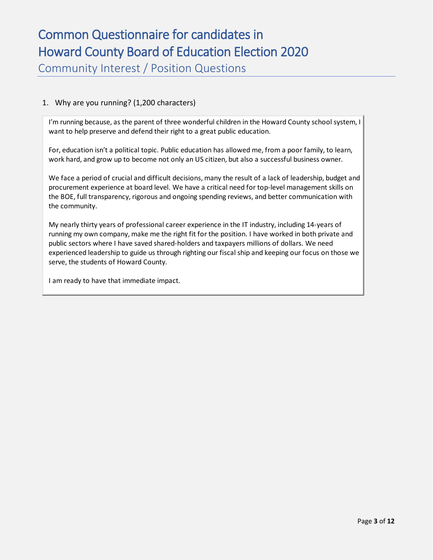Community Interest / Position Questions

#### 1. Why are you running? (1,200 characters)

I'm running because, as the parent of three wonderful children in the Howard County school system, I want to help preserve and defend their right to a great public education.

For, education isn't a political topic. Public education has allowed me, from a poor family, to learn, work hard, and grow up to become not only an US citizen, but also a successful business owner.

We face a period of crucial and difficult decisions, many the result of a lack of leadership, budget and procurement experience at board level. We have a critical need for top-level management skills on the BOE, full transparency, rigorous and ongoing spending reviews, and better communication with the community.

My nearly thirty years of professional career experience in the IT industry, including 14-years of running my own company, make me the right fit for the position. I have worked in both private and public sectors where I have saved shared-holders and taxpayers millions of dollars. We need experienced leadership to guide us through righting our fiscal ship and keeping our focus on those we serve, the students of Howard County.

I am ready to have that immediate impact.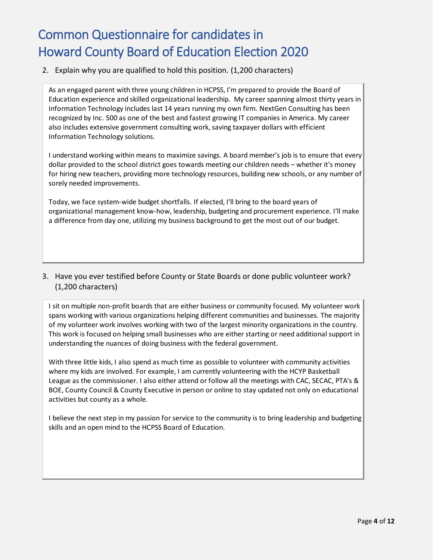#### 2. Explain why you are qualified to hold this position. (1,200 characters)

As an engaged parent with three young children in HCPSS, I'm prepared to provide the Board of Education experience and skilled organizational leadership. My career spanning almost thirty years in Information Technology includes last 14 years running my own firm. NextGen Consulting has been recognized by Inc. 500 as one of the best and fastest growing IT companies in America. My career also includes extensive government consulting work, saving taxpayer dollars with efficient Information Technology solutions.

I understand working within means to maximize savings. A board member's job is to ensure that every dollar provided to the school district goes towards meeting our children needs – whether it's money for hiring new teachers, providing more technology resources, building new schools, or any number of sorely needed improvements.

Today, we face system-wide budget shortfalls. If elected, I'll bring to the board years of organizational management know-how, leadership, budgeting and procurement experience. I'll make a difference from day one, utilizing my business background to get the most out of our budget.

#### 3. Have you ever testified before County or State Boards or done public volunteer work? (1,200 characters)

I sit on multiple non-profit boards that are either business or community focused. My volunteer work spans working with various organizations helping different communities and businesses. The majority of my volunteer work involves working with two of the largest minority organizations in the country. This work is focused on helping small businesses who are either starting or need additional support in understanding the nuances of doing business with the federal government.

With three little kids, I also spend as much time as possible to volunteer with community activities where my kids are involved. For example, I am currently volunteering with the HCYP Basketball League as the commissioner. I also either attend or follow all the meetings with CAC, SECAC, PTA's & BOE, County Council & County Executive in person or online to stay updated not only on educational activities but county as a whole.

I believe the next step in my passion for service to the community is to bring leadership and budgeting skills and an open mind to the HCPSS Board of Education.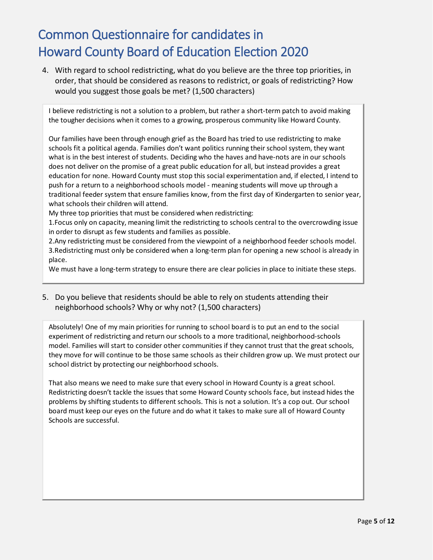4. With regard to school redistricting, what do you believe are the three top priorities, in order, that should be considered as reasons to redistrict, or goals of redistricting? How would you suggest those goals be met? (1,500 characters)

I believe redistricting is not a solution to a problem, but rather a short-term patch to avoid making the tougher decisions when it comes to a growing, prosperous community like Howard County.

Our families have been through enough grief as the Board has tried to use redistricting to make schools fit a political agenda. Families don't want politics running their school system, they want what is in the best interest of students. Deciding who the haves and have-nots are in our schools does not deliver on the promise of a great public education for all, but instead provides a great education for none. Howard County must stop this social experimentation and, if elected, I intend to push for a return to a neighborhood schools model - meaning students will move up through a traditional feeder system that ensure families know, from the first day of Kindergarten to senior year, what schools their children will attend.

My three top priorities that must be considered when redistricting:

1.Focus only on capacity, meaning limit the redistricting to schools central to the overcrowding issue in order to disrupt as few students and families as possible.

2.Any redistricting must be considered from the viewpoint of a neighborhood feeder schools model. 3.Redistricting must only be considered when a long-term plan for opening a new school is already in place.

We must have a long-term strategy to ensure there are clear policies in place to initiate these steps.

5. Do you believe that residents should be able to rely on students attending their neighborhood schools? Why or why not? (1,500 characters)

Absolutely! One of my main priorities for running to school board is to put an end to the social experiment of redistricting and return our schools to a more traditional, neighborhood-schools model. Families will start to consider other communities if they cannot trust that the great schools, they move for will continue to be those same schools as their children grow up. We must protect our school district by protecting our neighborhood schools.

That also means we need to make sure that every school in Howard County is a great school. Redistricting doesn't tackle the issues that some Howard County schools face, but instead hides the problems by shifting students to different schools. This is not a solution. It's a cop out. Our school board must keep our eyes on the future and do what it takes to make sure all of Howard County Schools are successful.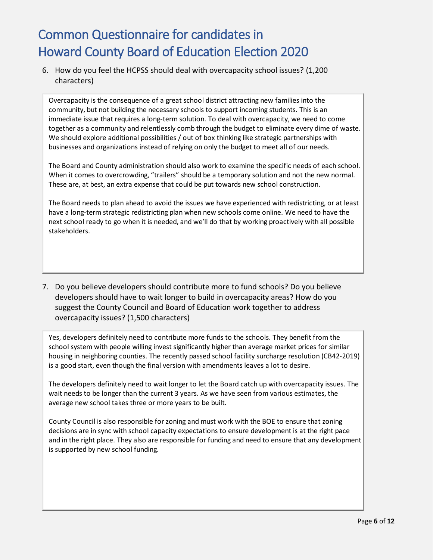6. How do you feel the HCPSS should deal with overcapacity school issues? (1,200 characters)

Overcapacity is the consequence of a great school district attracting new families into the community, but not building the necessary schools to support incoming students. This is an immediate issue that requires a long-term solution. To deal with overcapacity, we need to come together as a community and relentlessly comb through the budget to eliminate every dime of waste. We should explore additional possibilities / out of box thinking like strategic partnerships with businesses and organizations instead of relying on only the budget to meet all of our needs.

The Board and County administration should also work to examine the specific needs of each school. When it comes to overcrowding, "trailers" should be a temporary solution and not the new normal. These are, at best, an extra expense that could be put towards new school construction.

The Board needs to plan ahead to avoid the issues we have experienced with redistricting, or at least have a long-term strategic redistricting plan when new schools come online. We need to have the next school ready to go when it is needed, and we'll do that by working proactively with all possible stakeholders.

7. Do you believe developers should contribute more to fund schools? Do you believe developers should have to wait longer to build in overcapacity areas? How do you suggest the County Council and Board of Education work together to address overcapacity issues? (1,500 characters)

Yes, developers definitely need to contribute more funds to the schools. They benefit from the school system with people willing invest significantly higher than average market prices for similar housing in neighboring counties. The recently passed school facility surcharge resolution (CB42-2019) is a good start, even though the final version with amendments leaves a lot to desire.

The developers definitely need to wait longer to let the Board catch up with overcapacity issues. The wait needs to be longer than the current 3 years. As we have seen from various estimates, the average new school takes three or more years to be built.

County Council is also responsible for zoning and must work with the BOE to ensure that zoning decisions are in sync with school capacity expectations to ensure development is at the right pace and in the right place. They also are responsible for funding and need to ensure that any development is supported by new school funding.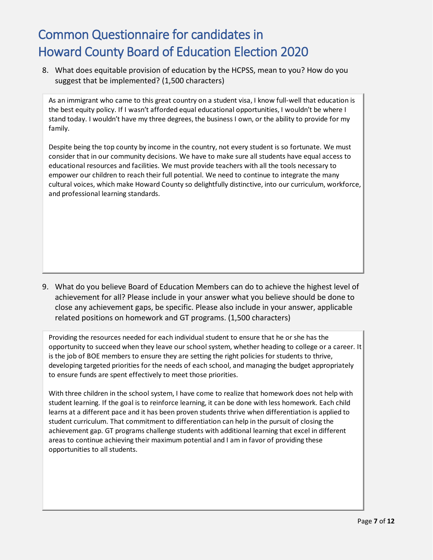8. What does equitable provision of education by the HCPSS, mean to you? How do you suggest that be implemented? (1,500 characters)

As an immigrant who came to this great country on a student visa, I know full-well that education is the best equity policy. If I wasn't afforded equal educational opportunities, I wouldn't be where I stand today. I wouldn't have my three degrees, the business I own, or the ability to provide for my family.

Despite being the top county by income in the country, not every student is so fortunate. We must consider that in our community decisions. We have to make sure all students have equal access to educational resources and facilities. We must provide teachers with all the tools necessary to empower our children to reach their full potential. We need to continue to integrate the many cultural voices, which make Howard County so delightfully distinctive, into our curriculum, workforce, and professional learning standards.

9. What do you believe Board of Education Members can do to achieve the highest level of achievement for all? Please include in your answer what you believe should be done to close any achievement gaps, be specific. Please also include in your answer, applicable related positions on homework and GT programs. (1,500 characters)

Providing the resources needed for each individual student to ensure that he or she has the opportunity to succeed when they leave our school system, whether heading to college or a career. It is the job of BOE members to ensure they are setting the right policies for students to thrive, developing targeted priorities for the needs of each school, and managing the budget appropriately to ensure funds are spent effectively to meet those priorities.

With three children in the school system, I have come to realize that homework does not help with student learning. If the goal is to reinforce learning, it can be done with less homework. Each child learns at a different pace and it has been proven students thrive when differentiation is applied to student curriculum. That commitment to differentiation can help in the pursuit of closing the achievement gap. GT programs challenge students with additional learning that excel in different areas to continue achieving their maximum potential and I am in favor of providing these opportunities to all students.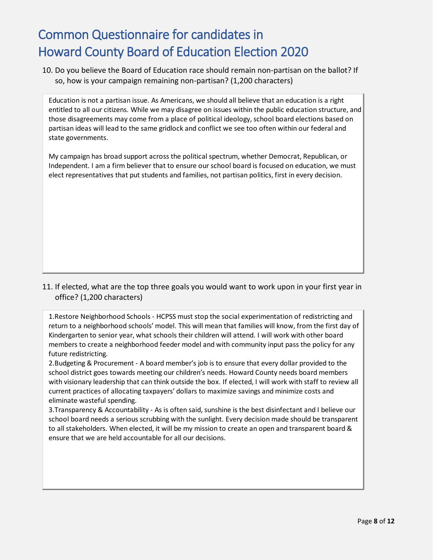10. Do you believe the Board of Education race should remain non-partisan on the ballot? If so, how is your campaign remaining non-partisan? (1,200 characters)

Education is not a partisan issue. As Americans, we should all believe that an education is a right entitled to all our citizens. While we may disagree on issues within the public education structure, and those disagreements may come from a place of political ideology, school board elections based on partisan ideas will lead to the same gridlock and conflict we see too often within our federal and state governments.

My campaign has broad support across the political spectrum, whether Democrat, Republican, or Independent. I am a firm believer that to ensure our school board is focused on education, we must elect representatives that put students and families, not partisan politics, first in every decision.

11. If elected, what are the top three goals you would want to work upon in your first year in office? (1,200 characters)

1.Restore Neighborhood Schools - HCPSS must stop the social experimentation of redistricting and return to a neighborhood schools' model. This will mean that families will know, from the first day of Kindergarten to senior year, what schools their children will attend. I will work with other board members to create a neighborhood feeder model and with community input pass the policy for any future redistricting.

2.Budgeting & Procurement - A board member's job is to ensure that every dollar provided to the school district goes towards meeting our children's needs. Howard County needs board members with visionary leadership that can think outside the box. If elected, I will work with staff to review all current practices of allocating taxpayers' dollars to maximize savings and minimize costs and eliminate wasteful spending.

3.Transparency & Accountability - As is often said, sunshine is the best disinfectant and I believe our school board needs a serious scrubbing with the sunlight. Every decision made should be transparent to all stakeholders. When elected, it will be my mission to create an open and transparent board & ensure that we are held accountable for all our decisions.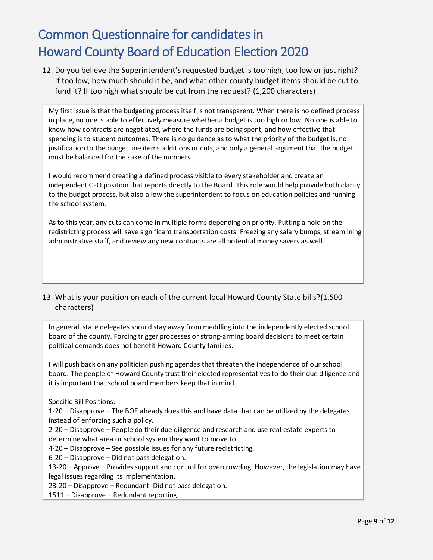12. Do you believe the Superintendent's requested budget is too high, too low or just right? If too low, how much should it be, and what other county budget items should be cut to fund it? If too high what should be cut from the request? (1,200 characters)

My first issue is that the budgeting process itself is not transparent. When there is no defined process in place, no one is able to effectively measure whether a budget is too high or low. No one is able to know how contracts are negotiated, where the funds are being spent, and how effective that spending is to student outcomes. There is no guidance as to what the priority of the budget is, no justification to the budget line items additions or cuts, and only a general argument that the budget must be balanced for the sake of the numbers.

I would recommend creating a defined process visible to every stakeholder and create an independent CFO position that reports directly to the Board. This role would help provide both clarity to the budget process, but also allow the superintendent to focus on education policies and running the school system.

As to this year, any cuts can come in multiple forms depending on priority. Putting a hold on the redistricting process will save significant transportation costs. Freezing any salary bumps, streamlining administrative staff, and review any new contracts are all potential money savers as well.

#### 13. What is your position on each of the current local Howard County State bills?(1,500 characters)

In general, state delegates should stay away from meddling into the independently elected school board of the county. Forcing trigger processes or strong-arming board decisions to meet certain political demands does not benefit Howard County families.

I will push back on any politician pushing agendas that threaten the independence of our school board. The people of Howard County trust their elected representatives to do their due diligence and it is important that school board members keep that in mind.

Specific Bill Positions:

1-20 – Disapprove – The BOE already does this and have data that can be utilized by the delegates instead of enforcing such a policy.

2-20 – Disapprove – People do their due diligence and research and use real estate experts to determine what area or school system they want to move to.

4-20 – Disapprove – See possible issues for any future redistricting.

6-20 – Disapprove – Did not pass delegation.

13-20 – Approve – Provides support and control for overcrowding. However, the legislation may have legal issues regarding its implementation.

23-20 – Disapprove – Redundant. Did not pass delegation.

1511 – Disapprove – Redundant reporting.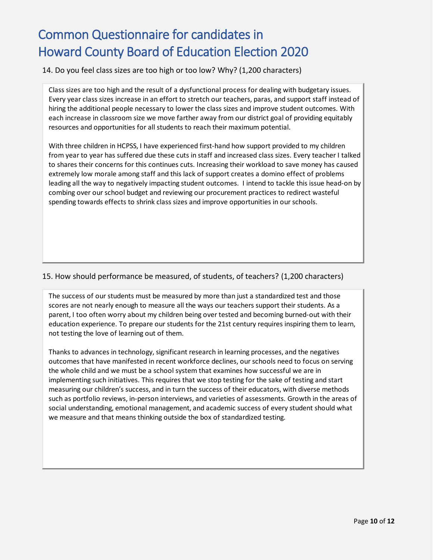14. Do you feel class sizes are too high or too low? Why? (1,200 characters)

Class sizes are too high and the result of a dysfunctional process for dealing with budgetary issues. Every year class sizes increase in an effort to stretch our teachers, paras, and support staff instead of hiring the additional people necessary to lower the class sizes and improve student outcomes. With each increase in classroom size we move farther away from our district goal of providing equitably resources and opportunities for all students to reach their maximum potential.

With three children in HCPSS, I have experienced first-hand how support provided to my children from year to year has suffered due these cuts in staff and increased class sizes. Every teacher I talked to shares their concerns for this continues cuts. Increasing their workload to save money has caused extremely low morale among staff and this lack of support creates a domino effect of problems leading all the way to negatively impacting student outcomes. I intend to tackle this issue head-on by combing over our school budget and reviewing our procurement practices to redirect wasteful spending towards effects to shrink class sizes and improve opportunities in our schools.

#### 15. How should performance be measured, of students, of teachers? (1,200 characters)

The success of our students must be measured by more than just a standardized test and those scores are not nearly enough to measure all the ways our teachers support their students. As a parent, I too often worry about my children being over tested and becoming burned-out with their education experience. To prepare our students for the 21st century requires inspiring them to learn, not testing the love of learning out of them.

Thanks to advances in technology, significant research in learning processes, and the negatives outcomes that have manifested in recent workforce declines, our schools need to focus on serving the whole child and we must be a school system that examines how successful we are in implementing such initiatives. This requires that we stop testing for the sake of testing and start measuring our children's success, and in turn the success of their educators, with diverse methods such as portfolio reviews, in-person interviews, and varieties of assessments. Growth in the areas of social understanding, emotional management, and academic success of every student should what we measure and that means thinking outside the box of standardized testing.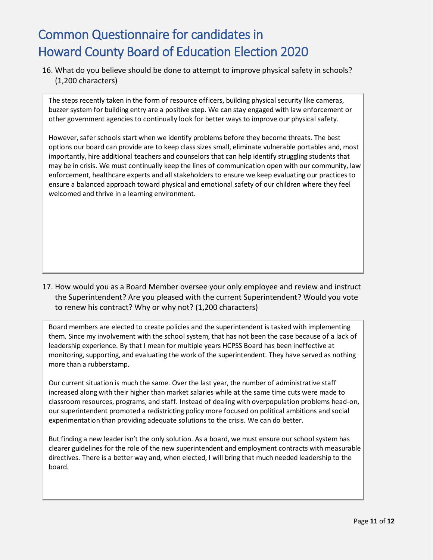16. What do you believe should be done to attempt to improve physical safety in schools? (1,200 characters)

The steps recently taken in the form of resource officers, building physical security like cameras, buzzer system for building entry are a positive step. We can stay engaged with law enforcement or other government agencies to continually look for better ways to improve our physical safety.

However, safer schools start when we identify problems before they become threats. The best options our board can provide are to keep class sizes small, eliminate vulnerable portables and, most importantly, hire additional teachers and counselors that can help identify struggling students that may be in crisis. We must continually keep the lines of communication open with our community, law enforcement, healthcare experts and all stakeholders to ensure we keep evaluating our practices to ensure a balanced approach toward physical and emotional safety of our children where they feel welcomed and thrive in a learning environment.

17. How would you as a Board Member oversee your only employee and review and instruct the Superintendent? Are you pleased with the current Superintendent? Would you vote to renew his contract? Why or why not? (1,200 characters)

Board members are elected to create policies and the superintendent is tasked with implementing them. Since my involvement with the school system, that has not been the case because of a lack of leadership experience. By that I mean for multiple years HCPSS Board has been ineffective at monitoring, supporting, and evaluating the work of the superintendent. They have served as nothing more than a rubberstamp.

Our current situation is much the same. Over the last year, the number of administrative staff increased along with their higher than market salaries while at the same time cuts were made to classroom resources, programs, and staff. Instead of dealing with overpopulation problems head-on, our superintendent promoted a redistricting policy more focused on political ambitions and social experimentation than providing adequate solutions to the crisis. We can do better.

But finding a new leader isn't the only solution. As a board, we must ensure our school system has clearer guidelines for the role of the new superintendent and employment contracts with measurable directives. There is a better way and, when elected, I will bring that much needed leadership to the board.